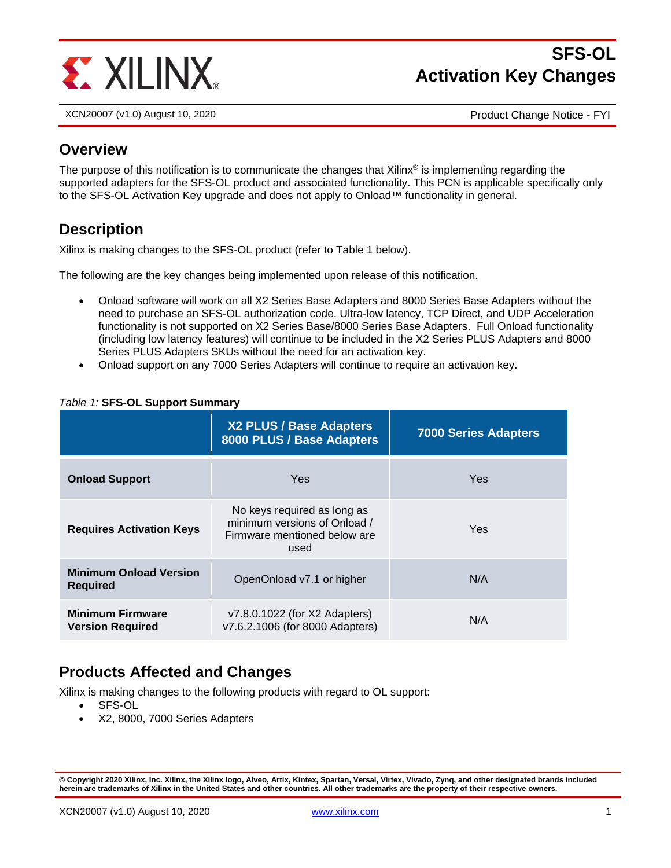

# **SFS-OL Activation Key Changes**

XCN20007 (v1.0) August 10, 2020 Product Change Notice - FYI

#### **Overview**

The purpose of this notification is to communicate the changes that Xilinx<sup>®</sup> is implementing regarding the supported adapters for the SFS-OL product and associated functionality. This PCN is applicable specifically only to the SFS-OL Activation Key upgrade and does not apply to Onload™ functionality in general.

# **Description**

Xilinx is making changes to the SFS-OL product (refer to Table 1 below).

The following are the key changes being implemented upon release of this notification.

- Onload software will work on all X2 Series Base Adapters and 8000 Series Base Adapters without the need to purchase an SFS-OL authorization code. Ultra-low latency, TCP Direct, and UDP Acceleration functionality is not supported on X2 Series Base/8000 Series Base Adapters. Full Onload functionality (including low latency features) will continue to be included in the X2 Series PLUS Adapters and 8000 Series PLUS Adapters SKUs without the need for an activation key.
- Onload support on any 7000 Series Adapters will continue to require an activation key.

|                                                    | X2 PLUS / Base Adapters<br>8000 PLUS / Base Adapters                                                | <b>7000 Series Adapters</b> |
|----------------------------------------------------|-----------------------------------------------------------------------------------------------------|-----------------------------|
| <b>Onload Support</b>                              | Yes                                                                                                 | Yes                         |
| <b>Requires Activation Keys</b>                    | No keys required as long as<br>minimum versions of Onload /<br>Firmware mentioned below are<br>used | Yes                         |
| <b>Minimum Onload Version</b><br><b>Required</b>   | OpenOnload v7.1 or higher                                                                           | N/A                         |
| <b>Minimum Firmware</b><br><b>Version Required</b> | v7.8.0.1022 (for X2 Adapters)<br>v7.6.2.1006 (for 8000 Adapters)                                    | N/A                         |

#### *Table 1:* **SFS-OL Support Summary**

### **Products Affected and Changes**

Xilinx is making changes to the following products with regard to OL support:

- SFS-OL
- X2, 8000, 7000 Series Adapters

**<sup>©</sup> Copyright 2020 Xilinx, Inc. Xilinx, the Xilinx logo, Alveo, Artix, Kintex, Spartan, Versal, Virtex, Vivado, Zynq, and other designated brands included herein are trademarks of Xilinx in the United States and other countries. All other trademarks are the property of their respective owners.**